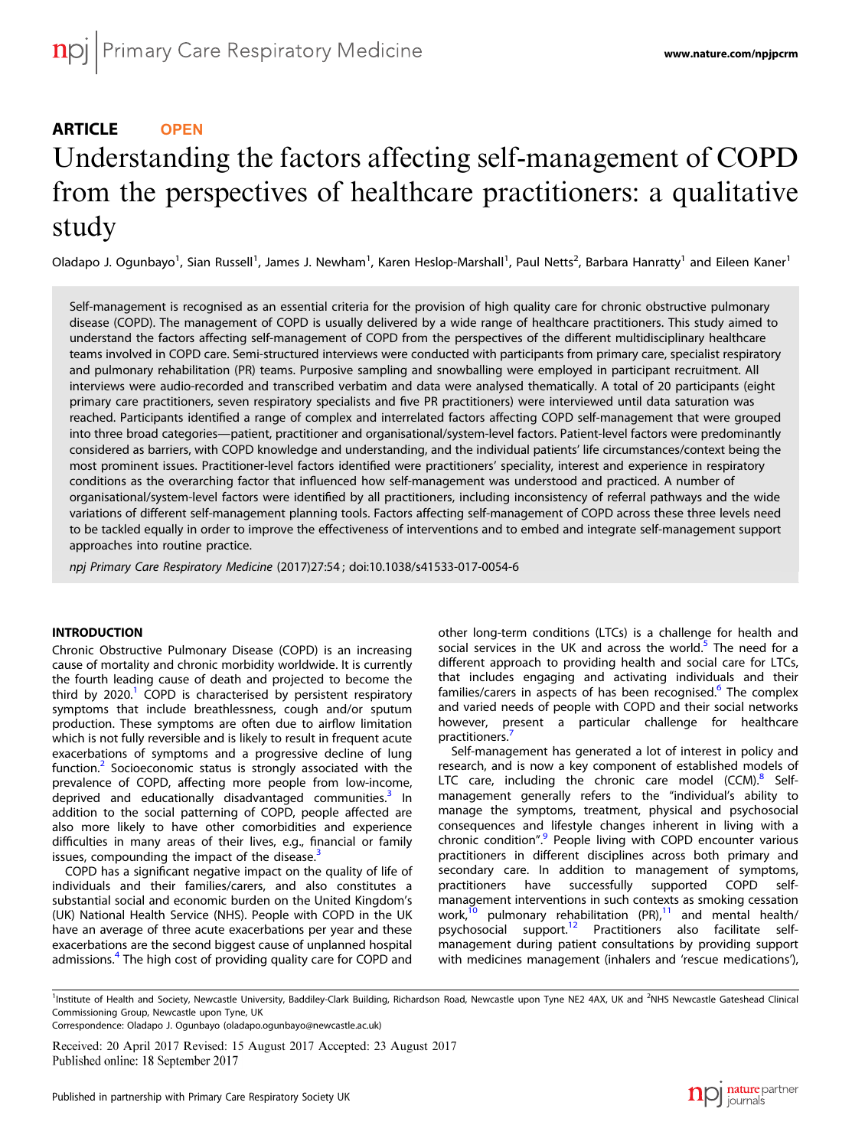# ARTICLE **OPEN** Understanding the factors affecting self-management of COPD from the perspectives of healthcare practitioners: a qualitative study

Oladapo J. Ogunbayo<sup>1</sup>, Sian Russell<sup>1</sup>, James J. Newham<sup>1</sup>, Karen Heslop-Marshall<sup>1</sup>, Paul Netts<sup>2</sup>, Barbara Hanratty<sup>1</sup> and Eileen Kaner<sup>1</sup>

Self-management is recognised as an essential criteria for the provision of high quality care for chronic obstructive pulmonary disease (COPD). The management of COPD is usually delivered by a wide range of healthcare practitioners. This study aimed to understand the factors affecting self-management of COPD from the perspectives of the different multidisciplinary healthcare teams involved in COPD care. Semi-structured interviews were conducted with participants from primary care, specialist respiratory and pulmonary rehabilitation (PR) teams. Purposive sampling and snowballing were employed in participant recruitment. All interviews were audio-recorded and transcribed verbatim and data were analysed thematically. A total of 20 participants (eight primary care practitioners, seven respiratory specialists and five PR practitioners) were interviewed until data saturation was reached. Participants identified a range of complex and interrelated factors affecting COPD self-management that were grouped into three broad categories—patient, practitioner and organisational/system-level factors. Patient-level factors were predominantly considered as barriers, with COPD knowledge and understanding, and the individual patients' life circumstances/context being the most prominent issues. Practitioner-level factors identified were practitioners' speciality, interest and experience in respiratory conditions as the overarching factor that influenced how self-management was understood and practiced. A number of organisational/system-level factors were identified by all practitioners, including inconsistency of referral pathways and the wide variations of different self-management planning tools. Factors affecting self-management of COPD across these three levels need to be tackled equally in order to improve the effectiveness of interventions and to embed and integrate self-management support approaches into routine practice.

npj Primary Care Respiratory Medicine (2017) 27:54 ; doi:10.1038/s4[1533-017-0054-6](https://doi.org/10.1038/s41533-017-0054-6)

Introduction<br>Chronic Obstructive Pulmonary Disease (COPD) is an increasing cause of mortality and chronic morbidity worldwide. It is currently the fourth leading cause of death and projected to become the third by  $2020$ .<sup>[1](#page-7-0)</sup> COPD is characterised by persistent respiratory symptoms that include breathlessness, cough and/or sputum production. These symptoms are often due to airflow limitation which is not fully reversible and is likely to result in frequent acute exacerbations of symptoms and a progressive decline of lung function.<sup>[2](#page-7-0)</sup> Socioeconomic status is strongly associated with the prevalence of COPD, affecting more people from low-income, deprived and educationally disadvantaged communities.<sup>[3](#page-7-0)</sup> In addition to the social patterning of COPD, people affected are also more likely to have other comorbidities and experience difficulties in many areas of their lives, e.g., financial or family issues, compounding the impact of the disease.<sup>[3](#page-7-0)</sup>

COPD has a significant negative impact on the quality of life of individuals and their families/carers, and also constitutes a substantial social and economic burden on the United Kingdom's (UK) National Health Service (NHS). People with COPD in the UK have an average of three acute exacerbations per year and these exacerbations are the second biggest cause of unplanned hospital admissions.<sup>[4](#page-7-0)</sup> The high cost of providing quality care for COPD and other long-term conditions (LTCs) is a challenge for health and social services in the UK and across the world. $5$  The need for a different approach to providing health and social care for LTCs, that includes engaging and activating individuals and their families/carers in aspects of has been recognised.<sup>[6](#page-7-0)</sup> The complex and varied needs of people with COPD and their social networks however, present a particular challenge for healthcare practitioners.'

Self-management has generated a lot of interest in policy and research, and is now a key component of established models of LTC care, including the chronic care model (CCM).<sup>[8](#page-7-0)</sup> Selfmanagement generally refers to the "individual's ability to manage the symptoms, treatment, physical and psychosocial consequences and lifestyle changes inherent in living with a chronic condition". [9](#page-7-0) People living with COPD encounter various practitioners in different disciplines across both primary and secondary care. In addition to management of symptoms, practitioners have successfully supported COPD selfmanagement interventions in such contexts as smoking cessation work, $10$  pulmonary rehabilitation (PR), $11$  and mental health/ psychosocial support.<sup>[12](#page-8-0)</sup> Practitioners also facilitate selfmanagement during patient consultations by providing support with medicines management (inhalers and 'rescue medications'),

<sup>1</sup>Institute of Health and Society, Newcastle University, Baddiley-Clark Building, Richardson Road, Newcastle upon Tyne NE2 4AX, UK and <sup>2</sup>NHS Newcastle Gateshead Clinical Commissioning Group, Newcastle upon Tyne, UK

Correspondence: Oladapo J. Ogunbayo ([oladapo.ogunbayo@newcastle.ac.uk\)](mailto:oladapo.ogunbayo@newcastle.ac.uk)

Received: 20 April 2017 Revised: 15 August 2017 Accepted: 23 August 2017

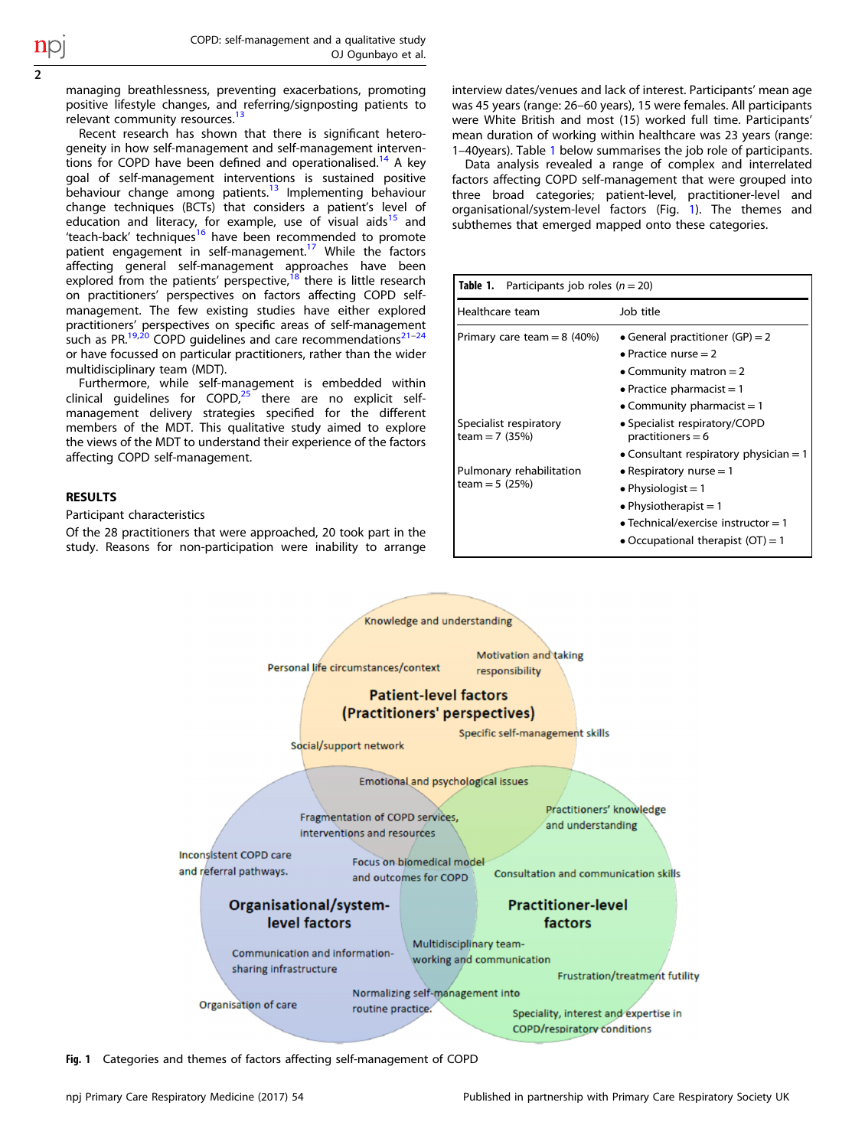2

managing breathlessness, preventing exacerbations, promoting positive lifestyle changes, and referring/signposting patients to relevant community resources.<sup>[13](#page-8-0)</sup>

Recent research has shown that there is significant heterogeneity in how self-management and self-management interven-tions for COPD have been defined and operationalised.<sup>[14](#page-8-0)</sup> A key goal of self-management interventions is sustained positive behaviour change among patients.<sup>[13](#page-8-0)</sup> Implementing behaviour change techniques (BCTs) that considers a patient's level of education and literacy, for example, use of visual aids<sup>[15](#page-8-0)</sup> and 'teach-back' techniques<sup>[16](#page-8-0)</sup> have been recommended to promote patient engagement in self-management.<sup>[17](#page-8-0)</sup> While the factors affecting general self-management approaches have been explored from the patients' perspective,  $18$  there is little research on practitioners' perspectives on factors affecting COPD selfmanagement. The few existing studies have either explored practitioners' perspectives on specific areas of self-management such as PR.<sup>[19,20](#page-8-0)</sup> COPD guidelines and care recommendations<sup>[21](#page-8-0)-[24](#page-8-0)</sup> or have focussed on particular practitioners, rather than the wider multidisciplinary team (MDT).

Furthermore, while self-management is embedded within clinical guidelines for  $\text{COPD}^{25}$  $\text{COPD}^{25}$  $\text{COPD}^{25}$  there are no explicit selfmanagement delivery strategies specified for the different members of the MDT. This qualitative study aimed to explore the views of the MDT to understand their experience of the factors affecting COPD self-management.

## **RESULTS**

Participant characteristics

Of the 28 practitioners that were approached, 20 took part in the study. Reasons for non-participation were inability to arrange

interview dates/venues and lack of interest. Participants' mean age was 45 years (range: 26–60 years), 15 were females. All participants were White British and most (15) worked full time. Participants' mean duration of working within healthcare was 23 years (range: 1–40years). Table 1 below summarises the job role of participants.

Data analysis revealed a range of complex and interrelated factors affecting COPD self-management that were grouped into three broad categories; patient-level, practitioner-level and organisational/system-level factors (Fig. 1). The themes and subthemes that emerged mapped onto these categories.

| <b>Table 1.</b> Participants job roles $(n = 20)$ |                                                                                                                                  |
|---------------------------------------------------|----------------------------------------------------------------------------------------------------------------------------------|
| Healthcare team                                   | Job title                                                                                                                        |
| Primary care team $= 8$ (40%)                     | • General practitioner (GP) = 2<br>$\bullet$ Practice nurse $=$ 2<br>• Community matron $=$ 2<br>• Practice pharmacist $= 1$     |
| Specialist respiratory<br>team = 7 (35%)          | • Community pharmacist $= 1$<br>• Specialist respiratory/COPD<br>$practitioners = 6$<br>• Consultant respiratory physician $=$ 1 |
| Pulmonary rehabilitation<br>team = 5 (25%)        | • Respiratory nurse $=$ 1<br>• Physiologist $= 1$<br>• Physiotherapist $= 1$<br>• Technical/exercise instructor = 1              |
|                                                   | • Occupational therapist $(OT) = 1$                                                                                              |



Fig. 1 Categories and themes of factors affecting self-management of COPD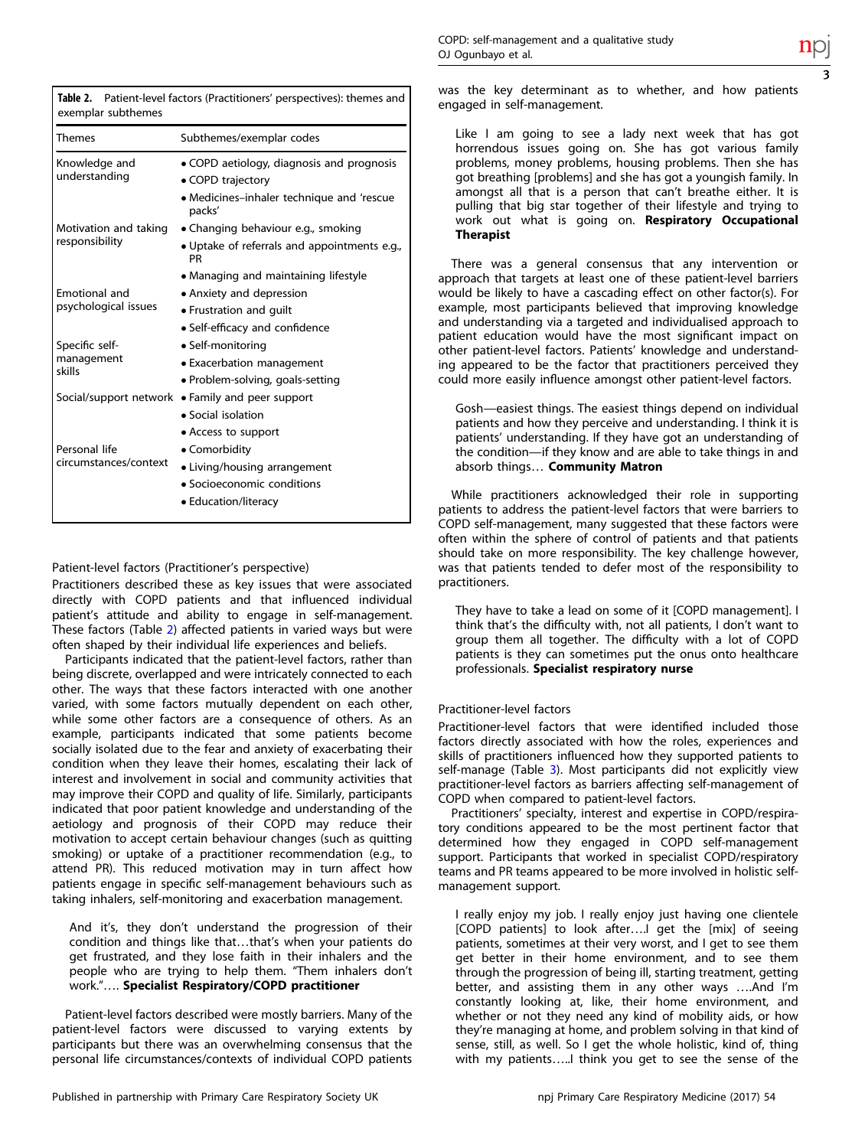<span id="page-2-0"></span>Table 2. Patient-level factors (Practitioners' perspectives): themes and exemplar subthemes

| <b>Themes</b>                           | Subthemes/exemplar codes                                       |
|-----------------------------------------|----------------------------------------------------------------|
| Knowledge and<br>understanding          | • COPD aetiology, diagnosis and prognosis<br>• COPD trajectory |
|                                         | • Medicines-inhaler technique and 'rescue<br>packs'            |
| Motivation and taking<br>responsibility | • Changing behaviour e.g., smoking                             |
|                                         | · Uptake of referrals and appointments e.g.,<br><b>PR</b>      |
|                                         | • Managing and maintaining lifestyle                           |
| Emotional and                           | • Anxiety and depression                                       |
| psychological issues                    | • Frustration and quilt                                        |
|                                         | • Self-efficacy and confidence                                 |
| Specific self-<br>management<br>skills  | • Self-monitoring                                              |
|                                         | • Exacerbation management                                      |
|                                         | • Problem-solving, goals-setting                               |
|                                         | Social/support network • Family and peer support               |
|                                         | • Social isolation                                             |
|                                         | • Access to support                                            |
| Personal life                           | • Comorbidity                                                  |
| circumstances/context                   | • Living/housing arrangement                                   |
|                                         | • Socioeconomic conditions                                     |
|                                         | • Education/literacy                                           |
|                                         |                                                                |

## Patient-level factors (Practitioner's perspective)

Practitioners described these as key issues that were associated directly with COPD patients and that influenced individual patient's attitude and ability to engage in self-management. These factors (Table 2) affected patients in varied ways but were often shaped by their individual life experiences and beliefs.

Participants indicated that the patient-level factors, rather than being discrete, overlapped and were intricately connected to each other. The ways that these factors interacted with one another varied, with some factors mutually dependent on each other, while some other factors are a consequence of others. As an example, participants indicated that some patients become socially isolated due to the fear and anxiety of exacerbating their condition when they leave their homes, escalating their lack of interest and involvement in social and community activities that may improve their COPD and quality of life. Similarly, participants indicated that poor patient knowledge and understanding of the aetiology and prognosis of their COPD may reduce their motivation to accept certain behaviour changes (such as quitting smoking) or uptake of a practitioner recommendation (e.g., to attend PR). This reduced motivation may in turn affect how patients engage in specific self-management behaviours such as taking inhalers, self-monitoring and exacerbation management.

And it's, they don't understand the progression of their condition and things like that…that's when your patients do get frustrated, and they lose faith in their inhalers and the people who are trying to help them. "Them inhalers don't work."…. Specialist Respiratory/COPD practitioner

Patient-level factors described were mostly barriers. Many of the patient-level factors were discussed to varying extents by participants but there was an overwhelming consensus that the personal life circumstances/contexts of individual COPD patients was the key determinant as to whether, and how patients engaged in self-management.

Like I am going to see a lady next week that has got horrendous issues going on. She has got various family problems, money problems, housing problems. Then she has got breathing [problems] and she has got a youngish family. In amongst all that is a person that can't breathe either. It is pulling that big star together of their lifestyle and trying to work out what is going on. Respiratory Occupational Therapist Therapist

There was a general consensus that any intervention or approach that targets at least one of these patient-level barriers would be likely to have a cascading effect on other factor(s). For example, most participants believed that improving knowledge and understanding via a targeted and individualised approach to patient education would have the most significant impact on other patient-level factors. Patients' knowledge and understanding appeared to be the factor that practitioners perceived they could more easily influence amongst other patient-level factors.

Gosh—easiest things. The easiest things depend on individual patients and how they perceive and understanding. I think it is patients' understanding. If they have got an understanding of the condition—if they know and are able to take things in and absorb things… Community Matron

While practitioners acknowledged their role in supporting patients to address the patient-level factors that were barriers to COPD self-management, many suggested that these factors were often within the sphere of control of patients and that patients should take on more responsibility. The key challenge however, was that patients tended to defer most of the responsibility to practitioners.

They have to take a lead on some of it [COPD management]. I think that's the difficulty with, not all patients, I don't want to group them all together. The difficulty with a lot of COPD patients is they can sometimes put the onus onto healthcare professionals. Specialist respiratory nurse

## Practitioner-level factors

Practitioner-level factors that were identified included those factors directly associated with how the roles, experiences and skills of practitioners influenced how they supported patients to self-manage (Table [3](#page-3-0)). Most participants did not explicitly view practitioner-level factors as barriers affecting self-management of COPD when compared to patient-level factors.

Practitioners' specialty, interest and expertise in COPD/respiratory conditions appeared to be the most pertinent factor that determined how they engaged in COPD self-management support. Participants that worked in specialist COPD/respiratory teams and PR teams appeared to be more involved in holistic selfmanagement support.

I really enjoy my job. I really enjoy just having one clientele [COPD patients] to look after….I get the [mix] of seeing patients, sometimes at their very worst, and I get to see them get better in their home environment, and to see them through the progression of being ill, starting treatment, getting better, and assisting them in any other ways ….And I'm constantly looking at, like, their home environment, and whether or not they need any kind of mobility aids, or how they're managing at home, and problem solving in that kind of sense, still, as well. So I get the whole holistic, kind of, thing with my patients…..I think you get to see the sense of the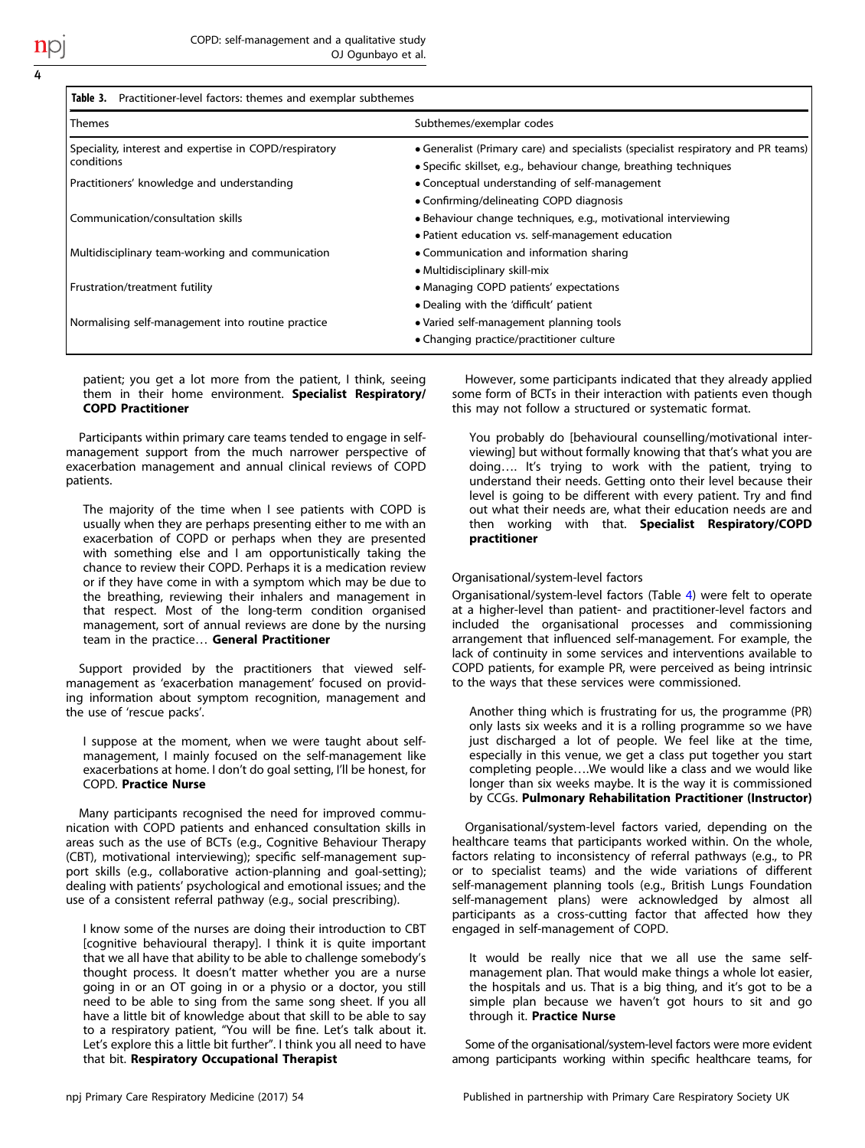<span id="page-3-0"></span>

| <b>Themes</b>                                                        | Subthemes/exemplar codes                                                          |
|----------------------------------------------------------------------|-----------------------------------------------------------------------------------|
| Speciality, interest and expertise in COPD/respiratory<br>conditions | • Generalist (Primary care) and specialists (specialist respiratory and PR teams) |
|                                                                      | • Specific skillset, e.g., behaviour change, breathing techniques                 |
| Practitioners' knowledge and understanding                           | • Conceptual understanding of self-management                                     |
|                                                                      | • Confirming/delineating COPD diagnosis                                           |
| Communication/consultation skills                                    | • Behaviour change techniques, e.g., motivational interviewing                    |
|                                                                      | • Patient education vs. self-management education                                 |
| Multidisciplinary team-working and communication                     | • Communication and information sharing                                           |
|                                                                      | • Multidisciplinary skill-mix                                                     |
| Frustration/treatment futility                                       | • Managing COPD patients' expectations                                            |
|                                                                      | • Dealing with the 'difficult' patient                                            |
| Normalising self-management into routine practice                    | • Varied self-management planning tools                                           |
|                                                                      | • Changing practice/practitioner culture                                          |

patient; you get a lot more from the patient, I think, seeing them in their home environment. Specialist Respiratory/<br>COPD Practitioner

Participants within primary care teams tended to engage in selfmanagement support from the much narrower perspective of exacerbation management and annual clinical reviews of COPD patients.

The majority of the time when I see patients with COPD is usually when they are perhaps presenting either to me with an exacerbation of COPD or perhaps when they are presented with something else and I am opportunistically taking the chance to review their COPD. Perhaps it is a medication review or if they have come in with a symptom which may be due to the breathing, reviewing their inhalers and management in that respect. Most of the long-term condition organised management, sort of annual reviews are done by the nursing team in the practice... General Practitioner

Support provided by the practitioners that viewed selfmanagement as 'exacerbation management' focused on providing information about symptom recognition, management and the use of 'rescue packs'.

I suppose at the moment, when we were taught about selfmanagement, I mainly focused on the self-management like exacerbations at home. I don't do goal setting, I'll be honest, for COPD. Practice Nurse

Many participants recognised the need for improved communication with COPD patients and enhanced consultation skills in areas such as the use of BCTs (e.g., Cognitive Behaviour Therapy (CBT), motivational interviewing); specific self-management support skills (e.g., collaborative action-planning and goal-setting); dealing with patients' psychological and emotional issues; and the use of a consistent referral pathway (e.g., social prescribing).

I know some of the nurses are doing their introduction to CBT [cognitive behavioural therapy]. I think it is quite important that we all have that ability to be able to challenge somebody's thought process. It doesn't matter whether you are a nurse going in or an OT going in or a physio or a doctor, you still need to be able to sing from the same song sheet. If you all have a little bit of knowledge about that skill to be able to say to a respiratory patient, "You will be fine. Let's talk about it. Let's explore this a little bit further". I think you all need to have that bit. Respiratory Occupational Therapist

However, some participants indicated that they already applied some form of BCTs in their interaction with patients even though this may not follow a structured or systematic format.

You probably do [behavioural counselling/motivational interviewing] but without formally knowing that that's what you are doing…. It's trying to work with the patient, trying to understand their needs. Getting onto their level because their level is going to be different with every patient. Try and find out what their needs are, what their education needs are and then working with that. Specialist Respiratory/COPD practitioner practitioner

## Organisational/system-level factors

Organisational/system-level factors (Table [4\)](#page-4-0) were felt to operate at a higher-level than patient- and practitioner-level factors and included the organisational processes and commissioning arrangement that influenced self-management. For example, the lack of continuity in some services and interventions available to COPD patients, for example PR, were perceived as being intrinsic to the ways that these services were commissioned.

Another thing which is frustrating for us, the programme (PR) only lasts six weeks and it is a rolling programme so we have just discharged a lot of people. We feel like at the time, especially in this venue, we get a class put together you start completing people….We would like a class and we would like longer than six weeks maybe. It is the way it is commissioned by CCGs. Pulmonary Rehabilitation Practitioner (Instructor)

Organisational/system-level factors varied, depending on the healthcare teams that participants worked within. On the whole, factors relating to inconsistency of referral pathways (e.g., to PR or to specialist teams) and the wide variations of different self-management planning tools (e.g., British Lungs Foundation self-management plans) were acknowledged by almost all participants as a cross-cutting factor that affected how they engaged in self-management of COPD.

It would be really nice that we all use the same selfmanagement plan. That would make things a whole lot easier, the hospitals and us. That is a big thing, and it's got to be a simple plan because we haven't got hours to sit and go through it. Practice Nurse

Some of the organisational/system-level factors were more evident among participants working within specific healthcare teams, for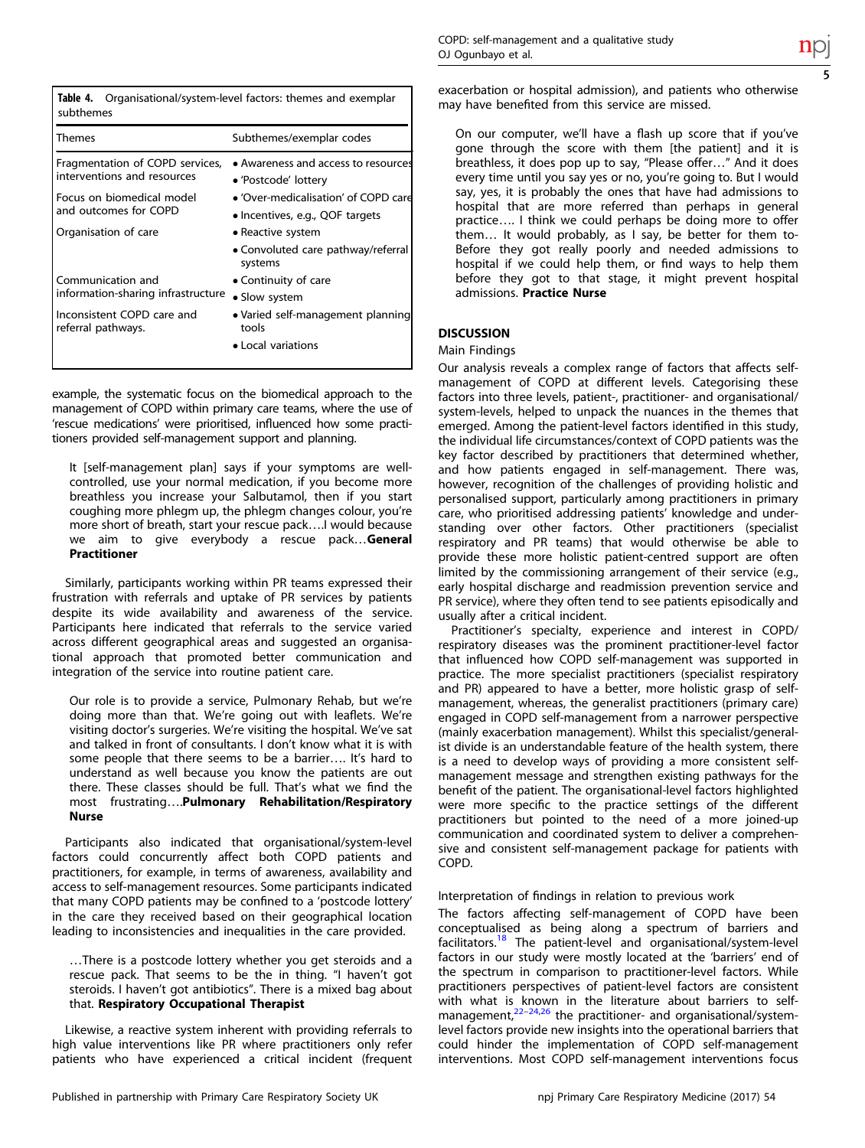<span id="page-4-0"></span>Table 4. Organisational/system-level factors: themes and exemplar subthemes

| Themes                                                         | Subthemes/exemplar codes                                                |
|----------------------------------------------------------------|-------------------------------------------------------------------------|
| Fragmentation of COPD services,<br>interventions and resources | • Awareness and access to resources<br>• 'Postcode' lottery             |
| Focus on biomedical model<br>and outcomes for COPD             | • 'Over-medicalisation' of COPD card<br>• Incentives, e.g., QOF targets |
| Organisation of care                                           | • Reactive system                                                       |
|                                                                | • Convoluted care pathway/referral<br>systems                           |
| Communication and<br>information-sharing infrastructure        | • Continuity of care                                                    |
|                                                                | • Slow system                                                           |
| Inconsistent COPD care and<br>referral pathways.               | • Varied self-management planning<br>tools                              |
|                                                                | • Local variations                                                      |

example, the systematic focus on the biomedical approach to the management of COPD within primary care teams, where the use of 'rescue medications' were prioritised, influenced how some practitioners provided self-management support and planning.

It [self-management plan] says if your symptoms are wellcontrolled, use your normal medication, if you become more breathless you increase your Salbutamol, then if you start coughing more phlegm up, the phlegm changes colour, you're more short of breath, start your rescue pack….I would because we aim to give everybody a rescue pack... **General**<br>Practitioner

Similarly, participants working within PR teams expressed their frustration with referrals and uptake of PR services by patients despite its wide availability and awareness of the service. Participants here indicated that referrals to the service varied across different geographical areas and suggested an organisational approach that promoted better communication and integration of the service into routine patient care.

Our role is to provide a service, Pulmonary Rehab, but we're doing more than that. We're going out with leaflets. We're visiting doctor's surgeries. We're visiting the hospital. We've sat and talked in front of consultants. I don't know what it is with some people that there seems to be a barrier…. It's hard to understand as well because you know the patients are out there. These classes should be full. That's what we find the most frustrating.... Pulmonary Rehabilitation/Respiratory<br>Nurse

Participants also indicated that organisational/system-level factors could concurrently affect both COPD patients and practitioners, for example, in terms of awareness, availability and access to self-management resources. Some participants indicated that many COPD patients may be confined to a 'postcode lottery' in the care they received based on their geographical location leading to inconsistencies and inequalities in the care provided.

…There is a postcode lottery whether you get steroids and a rescue pack. That seems to be the in thing. "I haven't got steroids. I haven't got antibiotics". There is a mixed bag about that. Respiratory Occupational Therapist

Likewise, a reactive system inherent with providing referrals to high value interventions like PR where practitioners only refer patients who have experienced a critical incident (frequent exacerbation or hospital admission), and patients who otherwise may have benefited from this service are missed.

On our computer, we'll have a flash up score that if you've gone through the score with them [the patient] and it is breathless, it does pop up to say, "Please offer…" And it does every time until you say yes or no, you're going to. But I would say, yes, it is probably the ones that have had admissions to hospital that are more referred than perhaps in general practice…. I think we could perhaps be doing more to offer them… It would probably, as I say, be better for them to-Before they got really poorly and needed admissions to hospital if we could help them, or find ways to help them before they got to that stage, it might prevent hospital admissions. Practice Nurse

## **DISCUSSION**

## Main Findings

Our analysis reveals a complex range of factors that affects selfmanagement of COPD at different levels. Categorising these factors into three levels, patient-, practitioner- and organisational/ system-levels, helped to unpack the nuances in the themes that emerged. Among the patient-level factors identified in this study, the individual life circumstances/context of COPD patients was the key factor described by practitioners that determined whether, and how patients engaged in self-management. There was, however, recognition of the challenges of providing holistic and personalised support, particularly among practitioners in primary care, who prioritised addressing patients' knowledge and understanding over other factors. Other practitioners (specialist respiratory and PR teams) that would otherwise be able to provide these more holistic patient-centred support are often limited by the commissioning arrangement of their service (e.g., early hospital discharge and readmission prevention service and PR service), where they often tend to see patients episodically and usually after a critical incident.

Practitioner's specialty, experience and interest in COPD/ respiratory diseases was the prominent practitioner-level factor that influenced how COPD self-management was supported in practice. The more specialist practitioners (specialist respiratory and PR) appeared to have a better, more holistic grasp of selfmanagement, whereas, the generalist practitioners (primary care) engaged in COPD self-management from a narrower perspective (mainly exacerbation management). Whilst this specialist/generalist divide is an understandable feature of the health system, there is a need to develop ways of providing a more consistent selfmanagement message and strengthen existing pathways for the benefit of the patient. The organisational-level factors highlighted were more specific to the practice settings of the different practitioners but pointed to the need of a more joined-up communication and coordinated system to deliver a comprehensive and consistent self-management package for patients with COPD.

## Interpretation of findings in relation to previous work

The factors affecting self-management of COPD have been conceptualised as being along a spectrum of barriers and facilitators.<sup>[18](#page-8-0)</sup> The patient-level and organisational/system-level factors in our study were mostly located at the 'barriers' end of the spectrum in comparison to practitioner-level factors. While practitioners perspectives of patient-level factors are consistent with what is known in the literature about barriers to self-management,<sup>[22](#page-8-0)–[24,26](#page-8-0)</sup> the practitioner- and organisational/systemlevel factors provide new insights into the operational barriers that could hinder the implementation of COPD self-management interventions. Most COPD self-management interventions focus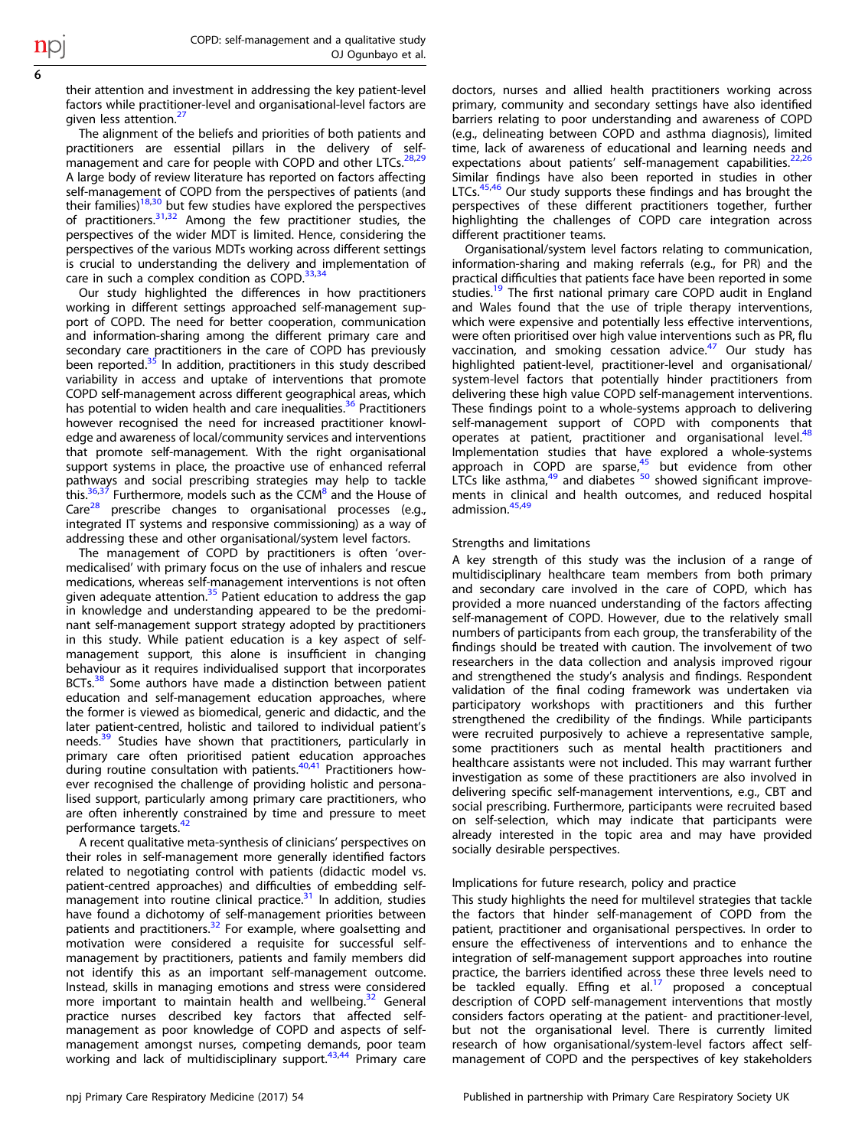their attention and investment in addressing the key patient-level factors while practitioner-level and organisational-level factors are given less attention.<sup>[27](#page-8-0)</sup>

The alignment of the beliefs and priorities of both patients and practitioners are essential pillars in the delivery of self-management and care for people with COPD and other LTCs.<sup>[28](#page-8-0),[29](#page-8-0)</sup> A large body of review literature has reported on factors affecting self-management of COPD from the perspectives of patients (and their families)<sup>[18](#page-8-0),[30](#page-8-0)</sup> but few studies have explored the perspectives of practitioners.<sup>[31,32](#page-8-0)</sup> Among the few practitioner studies, the perspectives of the wider MDT is limited. Hence, considering the perspectives of the various MDTs working across different settings is crucial to understanding the delivery and implementation of care in such a complex condition as COPD.<sup>33</sup>

Our study highlighted the differences in how practitioners working in different settings approached self-management support of COPD. The need for better cooperation, communication and information-sharing among the different primary care and secondary care practitioners in the care of COPD has previously been reported.<sup>35</sup> In addition, practitioners in this study described variability in access and uptake of interventions that promote COPD self-management across different geographical areas, which has potential to widen health and care inequalities.<sup>[36](#page-8-0)</sup> Practitioners however recognised the need for increased practitioner knowledge and awareness of local/community services and interventions that promote self-management. With the right organisational support systems in place, the proactive use of enhanced referral pathways and social prescribing strategies may help to tackle this. $36,37$  Furthermore, models such as the CCM<sup>[8](#page-7-0)</sup> and the House of  $\text{Care}^{28}$  prescribe changes to organisational processes (e.g., integrated IT systems and responsive commissioning) as a way of addressing these and other organisational/system level factors.

The management of COPD by practitioners is often 'overmedicalised' with primary focus on the use of inhalers and rescue medications, whereas self-management interventions is not often given adequate attention.<sup>[35](#page-8-0)</sup> Patient education to address the gap in knowledge and understanding appeared to be the predominant self-management support strategy adopted by practitioners in this study. While patient education is a key aspect of selfmanagement support, this alone is insufficient in changing behaviour as it requires individualised support that incorporates BCTs.<sup>[38](#page-8-0)</sup> Some authors have made a distinction between patient education and self-management education approaches, where the former is viewed as biomedical, generic and didactic, and the later patient-centred, holistic and tailored to individual patient's needs.<sup>[39](#page-8-0)</sup> Studies have shown that practitioners, particularly in primary care often prioritised patient education approaches during routine consultation with patients.<sup>[40,41](#page-8-0)</sup> Practitioners however recognised the challenge of providing holistic and personalised support, particularly among primary care practitioners, who are often inherently constrained by time and pressure to meet performance targets.<sup>4</sup>

A recent qualitative meta-synthesis of clinicians' perspectives on their roles in self-management more generally identified factors related to negotiating control with patients (didactic model vs. patient-centred approaches) and difficulties of embedding selfmanagement into routine clinical practice. $31$  In addition, studies have found a dichotomy of self-management priorities between patients and practitioners. $32$  For example, where goalsetting and motivation were considered a requisite for successful selfmanagement by practitioners, patients and family members did not identify this as an important self-management outcome. Instead, skills in managing emotions and stress were considered more important to maintain health and wellbeing. $32$  General practice nurses described key factors that affected selfmanagement as poor knowledge of COPD and aspects of selfmanagement amongst nurses, competing demands, poor team working and lack of multidisciplinary support. $43,44$  $43,44$  $43,44$  Primary care doctors, nurses and allied health practitioners working across primary, community and secondary settings have also identified barriers relating to poor understanding and awareness of COPD (e.g., delineating between COPD and asthma diagnosis), limited time, lack of awareness of educational and learning needs and expectations about patients' self-management capabilities.<sup>[22](#page-8-0),[26](#page-8-0)</sup> Similar findings have also been reported in studies in other LTCs.<sup>[45](#page-8-0),[46](#page-8-0)</sup> Our study supports these findings and has brought the perspectives of these different practitioners together, further highlighting the challenges of COPD care integration across different practitioner teams.

Organisational/system level factors relating to communication, information-sharing and making referrals (e.g., for PR) and the practical difficulties that patients face have been reported in some studies.<sup>[19](#page-8-0)</sup> The first national primary care COPD audit in England and Wales found that the use of triple therapy interventions, which were expensive and potentially less effective interventions, were often prioritised over high value interventions such as PR, flu vaccination, and smoking cessation advice.<sup>[47](#page-8-0)</sup> Our study has highlighted patient-level, practitioner-level and organisational/ system-level factors that potentially hinder practitioners from delivering these high value COPD self-management interventions. These findings point to a whole-systems approach to delivering self-management support of COPD with components that operates at patient, practitioner and organisational level.<sup>[48](#page-8-0)</sup> Implementation studies that have explored a whole-systems approach in COPD are sparse, $45$  but evidence from other LTCs like asthma,<sup>[49](#page-8-0)</sup> and diabetes <sup>[50](#page-8-0)</sup> showed significant improvements in clinical and health outcomes, and reduced hospital admission.<sup>[45,49](#page-8-0)</sup>

## Strengths and limitations

A key strength of this study was the inclusion of a range of multidisciplinary healthcare team members from both primary and secondary care involved in the care of COPD, which has provided a more nuanced understanding of the factors affecting self-management of COPD. However, due to the relatively small numbers of participants from each group, the transferability of the findings should be treated with caution. The involvement of two researchers in the data collection and analysis improved rigour and strengthened the study's analysis and findings. Respondent validation of the final coding framework was undertaken via participatory workshops with practitioners and this further strengthened the credibility of the findings. While participants were recruited purposively to achieve a representative sample, some practitioners such as mental health practitioners and healthcare assistants were not included. This may warrant further investigation as some of these practitioners are also involved in delivering specific self-management interventions, e.g., CBT and social prescribing. Furthermore, participants were recruited based on self-selection, which may indicate that participants were already interested in the topic area and may have provided socially desirable perspectives.

## Implications for future research, policy and practice

This study highlights the need for multilevel strategies that tackle the factors that hinder self-management of COPD from the patient, practitioner and organisational perspectives. In order to ensure the effectiveness of interventions and to enhance the integration of self-management support approaches into routine practice, the barriers identified across these three levels need to be tackled equally. Effing et al.<sup>[17](#page-8-0)</sup> proposed a conceptual description of COPD self-management interventions that mostly considers factors operating at the patient- and practitioner-level, but not the organisational level. There is currently limited research of how organisational/system-level factors affect selfmanagement of COPD and the perspectives of key stakeholders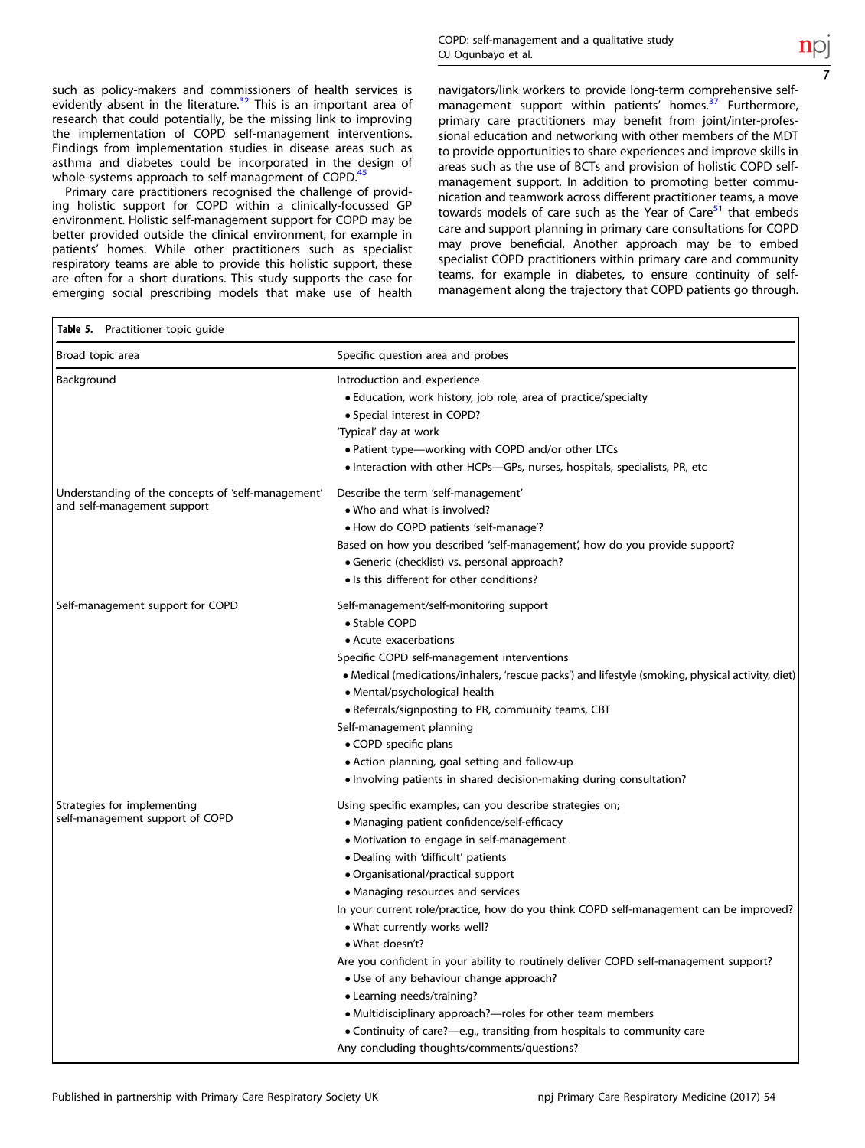<span id="page-6-0"></span>such as policy-makers and commissioners of health services is evidently absent in the literature.<sup>[32](#page-8-0)</sup> This is an important area of research that could potentially, be the missing link to improving the implementation of COPD self-management interventions. Findings from implementation studies in disease areas such as asthma and diabetes could be incorporated in the design of whole-systems approach to self-management of COPD.<sup>4</sup>

Primary care practitioners recognised the challenge of providing holistic support for COPD within a clinically-focussed GP environment. Holistic self-management support for COPD may be better provided outside the clinical environment, for example in patients' homes. While other practitioners such as specialist respiratory teams are able to provide this holistic support, these are often for a short durations. This study supports the case for emerging social prescribing models that make use of health navigators/link workers to provide long-term comprehensive self-management support within patients' homes.<sup>[37](#page-8-0)</sup> Furthermore, primary care practitioners may benefit from joint/inter-professional education and networking with other members of the MDT to provide opportunities to share experiences and improve skills in areas such as the use of BCTs and provision of holistic COPD selfmanagement support. In addition to promoting better communication and teamwork across different practitioner teams, a move towards models of care such as the Year of Care<sup>51</sup> that embeds care and support planning in primary care consultations for COPD may prove beneficial. Another approach may be to embed specialist COPD practitioners within primary care and community teams, for example in diabetes, to ensure continuity of selfmanagement along the trajectory that COPD patients go through.

| <b>Table 5.</b> Practitioner topic quide                       |                                                                                                   |  |
|----------------------------------------------------------------|---------------------------------------------------------------------------------------------------|--|
| Broad topic area                                               | Specific question area and probes                                                                 |  |
| Background                                                     | Introduction and experience                                                                       |  |
|                                                                | • Education, work history, job role, area of practice/specialty                                   |  |
|                                                                | • Special interest in COPD?                                                                       |  |
|                                                                | 'Typical' day at work                                                                             |  |
|                                                                | • Patient type—working with COPD and/or other LTCs                                                |  |
|                                                                | · Interaction with other HCPs-GPs, nurses, hospitals, specialists, PR, etc                        |  |
| Understanding of the concepts of 'self-management'             | Describe the term 'self-management'                                                               |  |
| and self-management support                                    | • Who and what is involved?                                                                       |  |
|                                                                | • How do COPD patients 'self-manage'?                                                             |  |
|                                                                | Based on how you described 'self-management', how do you provide support?                         |  |
|                                                                | · Generic (checklist) vs. personal approach?                                                      |  |
|                                                                | • Is this different for other conditions?                                                         |  |
| Self-management support for COPD                               | Self-management/self-monitoring support                                                           |  |
|                                                                | • Stable COPD                                                                                     |  |
|                                                                | • Acute exacerbations                                                                             |  |
|                                                                | Specific COPD self-management interventions                                                       |  |
|                                                                | • Medical (medications/inhalers, 'rescue packs') and lifestyle (smoking, physical activity, diet) |  |
|                                                                | • Mental/psychological health                                                                     |  |
|                                                                | • Referrals/signposting to PR, community teams, CBT                                               |  |
|                                                                | Self-management planning                                                                          |  |
|                                                                | • COPD specific plans                                                                             |  |
|                                                                | • Action planning, goal setting and follow-up                                                     |  |
|                                                                | • Involving patients in shared decision-making during consultation?                               |  |
| Strategies for implementing<br>self-management support of COPD | Using specific examples, can you describe strategies on;                                          |  |
|                                                                | • Managing patient confidence/self-efficacy                                                       |  |
|                                                                | • Motivation to engage in self-management                                                         |  |
|                                                                | • Dealing with 'difficult' patients                                                               |  |
|                                                                | • Organisational/practical support                                                                |  |
|                                                                | • Managing resources and services                                                                 |  |
|                                                                | In your current role/practice, how do you think COPD self-management can be improved?             |  |
|                                                                | • What currently works well?                                                                      |  |
|                                                                | • What doesn't?                                                                                   |  |
|                                                                | Are you confident in your ability to routinely deliver COPD self-management support?              |  |
|                                                                | • Use of any behaviour change approach?                                                           |  |
|                                                                | • Learning needs/training?                                                                        |  |
|                                                                | • Multidisciplinary approach?—roles for other team members                                        |  |
|                                                                | • Continuity of care?—e.g., transiting from hospitals to community care                           |  |
|                                                                | Any concluding thoughts/comments/questions?                                                       |  |
|                                                                |                                                                                                   |  |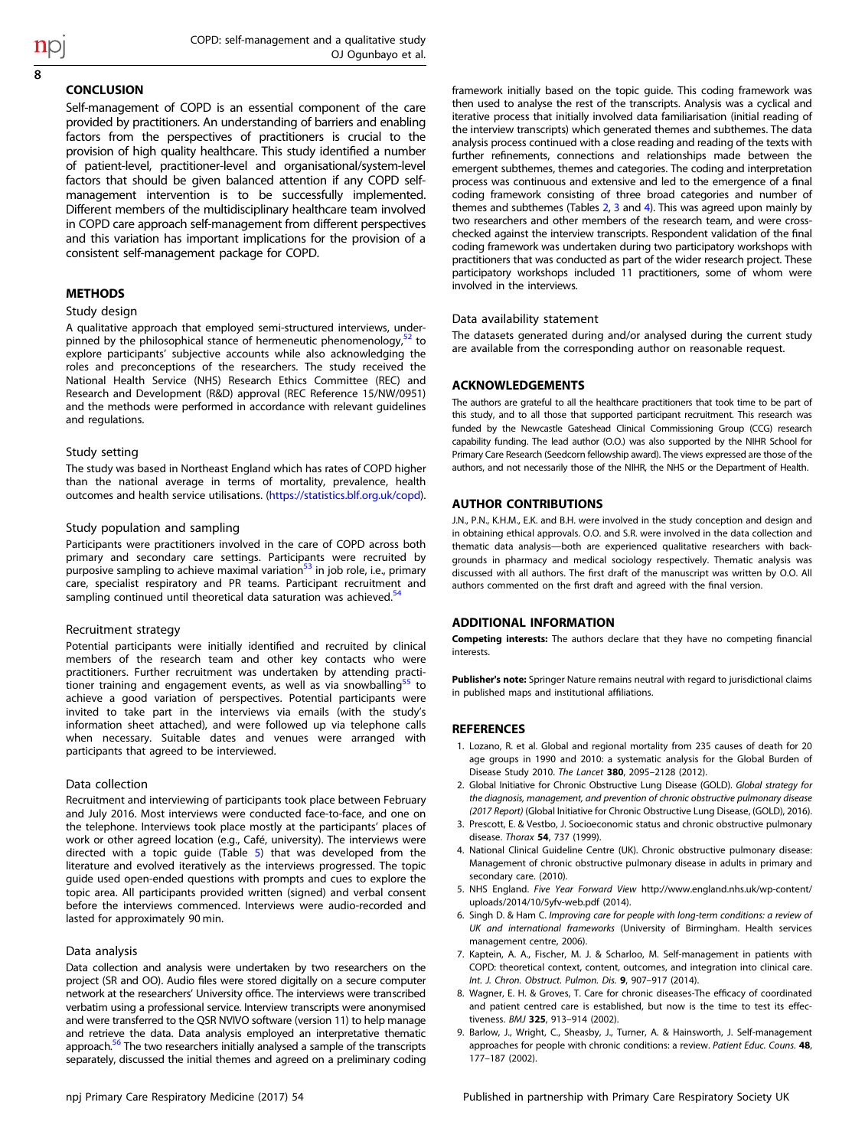## **CONCLUSION**

Self-management of COPD is an essential component of the care provided by practitioners. An understanding of barriers and enabling factors from the perspectives of practitioners is crucial to the provision of high quality healthcare. This study identified a number of patient-level, practitioner-level and organisational/system-level factors that should be given balanced attention if any COPD selfmanagement intervention is to be successfully implemented. Different members of the multidisciplinary healthcare team involved in COPD care approach self-management from different perspectives and this variation has important implications for the provision of a consistent self-management package for COPD.

## Study design

A qualitative approach that employed semi-structured interviews, underpinned by the philosophical stance of hermeneutic phenomenology, $52$  to explore participants' subjective accounts while also acknowledging the roles and preconceptions of the researchers. The study received the National Health Service (NHS) Research Ethics Committee (REC) and Research and Development (R&D) approval (REC Reference 15/NW/0951) and the methods were performed in accordance with relevant guidelines and regulations.

### Study setting

The study was based in Northeast England which has rates of COPD higher than the national average in terms of mortality, prevalence, health outcomes and health service utilisations. [\(https://statistics.blf.org.uk/copd\)](https://statistics.blf.org.uk/copd).

## Study population and sampling

Participants were practitioners involved in the care of COPD across both primary and secondary care settings. Participants were recruited by purposive sampling to achieve maximal variation $53$  in job role, i.e., primary care, specialist respiratory and PR teams. Participant recruitment and sampling continued until theoretical data saturation was achieved.<sup>5</sup>

## Recruitment strategy

Potential participants were initially identified and recruited by clinical members of the research team and other key contacts who were practitioners. Further recruitment was undertaken by attending practitioner training and engagement events, as well as via snowballing<sup>55</sup> to achieve a good variation of perspectives. Potential participants were invited to take part in the interviews via emails (with the study's information sheet attached), and were followed up via telephone calls when necessary. Suitable dates and venues were arranged with participants that agreed to be interviewed.

## Data collection

Recruitment and interviewing of participants took place between February and July 2016. Most interviews were conducted face-to-face, and one on the telephone. Interviews took place mostly at the participants' places of work or other agreed location (e.g., Café, university). The interviews were directed with a topic guide (Table [5](#page-6-0)) that was developed from the literature and evolved iteratively as the interviews progressed. The topic guide used open-ended questions with prompts and cues to explore the topic area. All participants provided written (signed) and verbal consent before the interviews commenced. Interviews were audio-recorded and lasted for approximately 90 min.

## Data analysis

Data collection and analysis were undertaken by two researchers on the project (SR and OO). Audio files were stored digitally on a secure computer network at the researchers' University office. The interviews were transcribed verbatim using a professional service. Interview transcripts were anonymised and were transferred to the QSR NVIVO software (version 11) to help manage and retrieve the data. Data analysis employed an interpretative thematic approach.<sup>56</sup> The two researchers initially analysed a sample of the transcripts separately, discussed the initial themes and agreed on a preliminary coding framework initially based on the topic guide. This coding framework was then used to analyse the rest of the transcripts. Analysis was a cyclical and iterative process that initially involved data familiarisation (initial reading of the interview transcripts) which generated themes and subthemes. The data analysis process continued with a close reading and reading of the texts with further refinements, connections and relationships made between the emergent subthemes, themes and categories. The coding and interpretation process was continuous and extensive and led to the emergence of a final coding framework consisting of three broad categories and number of themes and subthemes (Tables  $2, 3$  $2, 3$  $2, 3$  and [4\)](#page-4-0). This was agreed upon mainly by two researchers and other members of the research team, and were crosschecked against the interview transcripts. Respondent validation of the final coding framework was undertaken during two participatory workshops with practitioners that was conducted as part of the wider research project. These participatory workshops included 11 practitioners, some of whom were involved in the interviews.

### Data availability statement

The datasets generated during and/or analysed during the current study are available from the corresponding author on reasonable request.

## **ACKNOWLEDGEMENTS**

The authors are grateful to all the healthcare practitioners that took time to be part of this study, and to all those that supported participant recruitment. This research was funded by the Newcastle Gateshead Clinical Commissioning Group (CCG) research capability funding. The lead author (O.O.) was also supported by the NIHR School for Primary Care Research (Seedcorn fellowship award). The views expressed are those of the authors, and not necessarily those of the NIHR, the NHS or the Department of Health.

J.N., P.N., K.H.M., E.K. and B.H. were involved in the study conception and design and in obtaining ethical approvals. O.O. and S.R. were involved in the data collection and thematic data analysis—both are experienced qualitative researchers with backgrounds in pharmacy and medical sociology respectively. Thematic analysis was discussed with all authors. The first draft of the manuscript was written by O.O. All authors commented on the first draft and agreed with the final version.

ADDITIONAL INTO DITIONAL INCORPORATION COMPETING THE UNIVERSITY OF THE AUTHORS (SEE THE AUTHORS IN THE AUTHORS IN THE AUTHORS IN THE AUTHORS IN THE AUTHORS IN THE AUTHORS IN THE AUTHORS IN THE AUTHORS IN THE AUTHORS IN THE interests.

Publisher's note: Springer Nature remains neutral with regard to jurisdictional claims in published maps and institutional affiliations.

## **REFERENCES**

- 1. Lozano, R. et al. Global and regional mortality from 235 causes of death for 20 age groups in 1990 and 2010: a systematic analysis for the Global Burden of Disease Study 2010. The Lancet 380, 2095–2128 (2012).
- 2. Global Initiative for Chronic Obstructive Lung Disease (GOLD). Global strategy for the diagnosis, management, and prevention of chronic obstructive pulmonary disease (2017 Report) (Global Initiative for Chronic Obstructive Lung Disease, (GOLD), 2016).
- 3. Prescott, E. & Vestbo, J. Socioeconomic status and chronic obstructive pulmonary disease. Thorax 54, 737 (1999).
- 4. National Clinical Guideline Centre (UK). Chronic obstructive pulmonary disease: Management of chronic obstructive pulmonary disease in adults in primary and secondary care. (2010).
- 5. NHS England. Five Year Forward View http://www.england.nhs.uk/wp-content/ uploads/2014/10/5yfv-web.pdf (2014).
- 6. Singh D. & Ham C. Improving care for people with long-term conditions: a review of UK and international frameworks (University of Birmingham. Health services management centre, 2006).
- 7. Kaptein, A. A., Fischer, M. J. & Scharloo, M. Self-management in patients with COPD: theoretical context, content, outcomes, and integration into clinical care. Int. J. Chron. Obstruct. Pulmon. Dis. 9, 907–917 (2014).
- 8. Wagner, E. H. & Groves, T. Care for chronic diseases-The efficacy of coordinated and patient centred care is established, but now is the time to test its effectiveness. BMJ 325, 913–914 (2002).<br>9. Barlow, J., Wright, C., Sheasby, J., Turner, A. & Hainsworth, J. Self-management
- approaches for people with chronic conditions: a review. Patient Educ. Couns. 48, 177–187 (2002).

<span id="page-7-0"></span>8